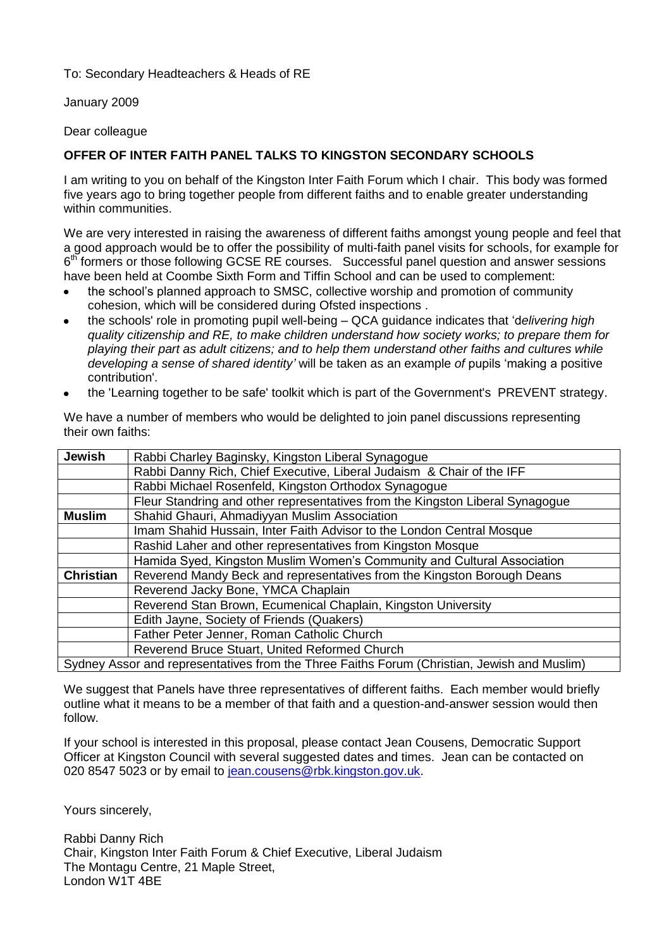To: Secondary Headteachers & Heads of RE

January 2009

Dear colleague

## **OFFER OF INTER FAITH PANEL TALKS TO KINGSTON SECONDARY SCHOOLS**

I am writing to you on behalf of the Kingston Inter Faith Forum which I chair. This body was formed five years ago to bring together people from different faiths and to enable greater understanding within communities.

We are very interested in raising the awareness of different faiths amongst young people and feel that a good approach would be to offer the possibility of multi-faith panel visits for schools, for example for 6<sup>th</sup> formers or those following GCSE RE courses. Successful panel question and answer sessions have been held at Coombe Sixth Form and Tiffin School and can be used to complement:

- the school's planned approach to SMSC, collective worship and promotion of community cohesion, which will be considered during Ofsted inspections .
- the schools' role in promoting pupil well-being QCA guidance indicates that 'd*elivering high quality citizenship and RE, to make children understand how society works; to prepare them for playing their part as adult citizens; and to help them understand other faiths and cultures while developing a sense of shared identity'* will be taken as an example *of* pupils 'making a positive contribution'.
- the 'Learning together to be safe' toolkit which is part of the Government's PREVENT strategy.

We have a number of members who would be delighted to join panel discussions representing their own faiths:

| <b>Jewish</b>                                                                                                        | Rabbi Charley Baginsky, Kingston Liberal Synagogue                            |
|----------------------------------------------------------------------------------------------------------------------|-------------------------------------------------------------------------------|
|                                                                                                                      | Rabbi Danny Rich, Chief Executive, Liberal Judaism & Chair of the IFF         |
|                                                                                                                      | Rabbi Michael Rosenfeld, Kingston Orthodox Synagogue                          |
|                                                                                                                      | Fleur Standring and other representatives from the Kingston Liberal Synagogue |
| <b>Muslim</b>                                                                                                        | Shahid Ghauri, Ahmadiyyan Muslim Association                                  |
|                                                                                                                      | Imam Shahid Hussain, Inter Faith Advisor to the London Central Mosque         |
|                                                                                                                      | Rashid Laher and other representatives from Kingston Mosque                   |
|                                                                                                                      | Hamida Syed, Kingston Muslim Women's Community and Cultural Association       |
| <b>Christian</b>                                                                                                     | Reverend Mandy Beck and representatives from the Kingston Borough Deans       |
|                                                                                                                      | Reverend Jacky Bone, YMCA Chaplain                                            |
|                                                                                                                      | Reverend Stan Brown, Ecumenical Chaplain, Kingston University                 |
|                                                                                                                      | Edith Jayne, Society of Friends (Quakers)                                     |
|                                                                                                                      | Father Peter Jenner, Roman Catholic Church                                    |
|                                                                                                                      | Reverend Bruce Stuart, United Reformed Church                                 |
| Our dealers and according the computation of $\tau$ and $\tau$ is the $\tau$ and $\tau$ (Obstrain Truth and Muslim). |                                                                               |

Sydney Assor and representatives from the Three Faiths Forum (Christian, Jewish and Muslim)

We suggest that Panels have three representatives of different faiths. Each member would briefly outline what it means to be a member of that faith and a question-and-answer session would then follow.

If your school is interested in this proposal, please contact Jean Cousens, Democratic Support Officer at Kingston Council with several suggested dates and times. Jean can be contacted on 020 8547 5023 or by email to [jean.cousens@rbk.kingston.gov.uk.](mailto:jean.cousens@rbk.kingston.gov.uk)

Yours sincerely,

Rabbi Danny Rich Chair, Kingston Inter Faith Forum & Chief Executive, Liberal Judaism The Montagu Centre, 21 Maple Street, London W1T 4BE